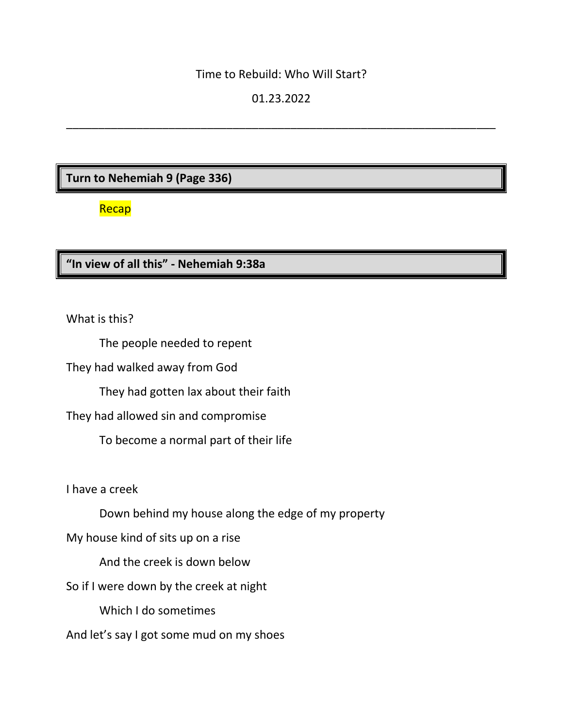#### Time to Rebuild: Who Will Start?

### 01.23.2022

\_\_\_\_\_\_\_\_\_\_\_\_\_\_\_\_\_\_\_\_\_\_\_\_\_\_\_\_\_\_\_\_\_\_\_\_\_\_\_\_\_\_\_\_\_\_\_\_\_\_\_\_\_\_\_\_\_\_\_\_\_\_\_\_\_\_\_

### **Turn to Nehemiah 9 (Page 336)**

### Recap

### **"In view of all this" - Nehemiah 9:38a**

What is this?

The people needed to repent

They had walked away from God

They had gotten lax about their faith

They had allowed sin and compromise

To become a normal part of their life

I have a creek

Down behind my house along the edge of my property

My house kind of sits up on a rise

And the creek is down below

So if I were down by the creek at night

Which I do sometimes

And let's say I got some mud on my shoes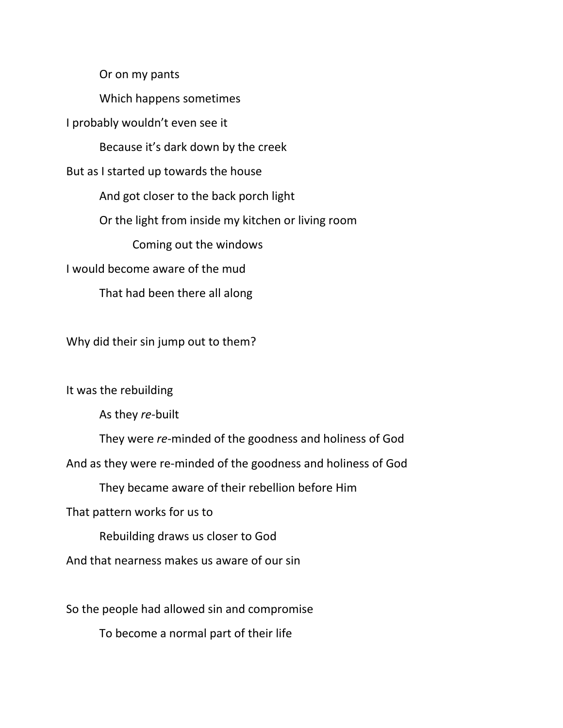Or on my pants

Which happens sometimes

I probably wouldn't even see it

Because it's dark down by the creek

But as I started up towards the house

And got closer to the back porch light

Or the light from inside my kitchen or living room

Coming out the windows

I would become aware of the mud

That had been there all along

Why did their sin jump out to them?

It was the rebuilding

As they *re-*built

They were *re-*minded of the goodness and holiness of God

And as they were re-minded of the goodness and holiness of God

They became aware of their rebellion before Him

That pattern works for us to

Rebuilding draws us closer to God

And that nearness makes us aware of our sin

So the people had allowed sin and compromise

To become a normal part of their life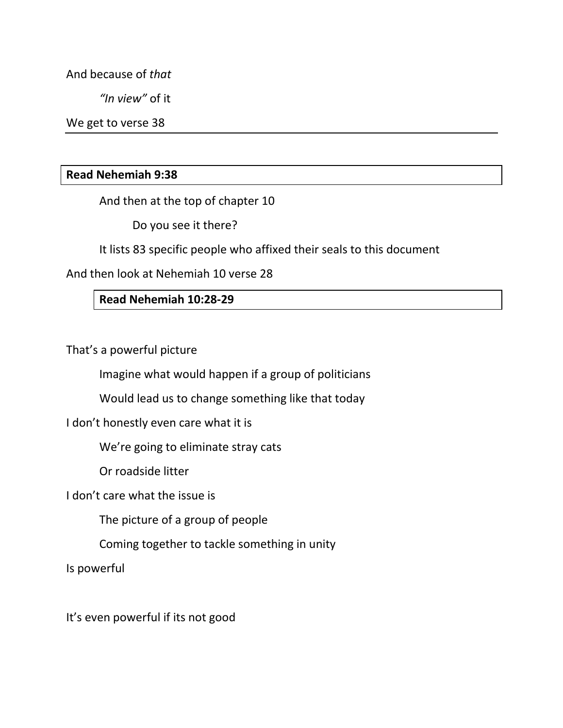And because of *that*

*"In view"* of it

We get to verse 38

#### **Read Nehemiah 9:38**

And then at the top of chapter 10

Do you see it there?

It lists 83 specific people who affixed their seals to this document

And then look at Nehemiah 10 verse 28

#### **Read Nehemiah 10:28-29**

That's a powerful picture

Imagine what would happen if a group of politicians

Would lead us to change something like that today

I don't honestly even care what it is

We're going to eliminate stray cats

Or roadside litter

I don't care what the issue is

The picture of a group of people

Coming together to tackle something in unity

Is powerful

It's even powerful if its not good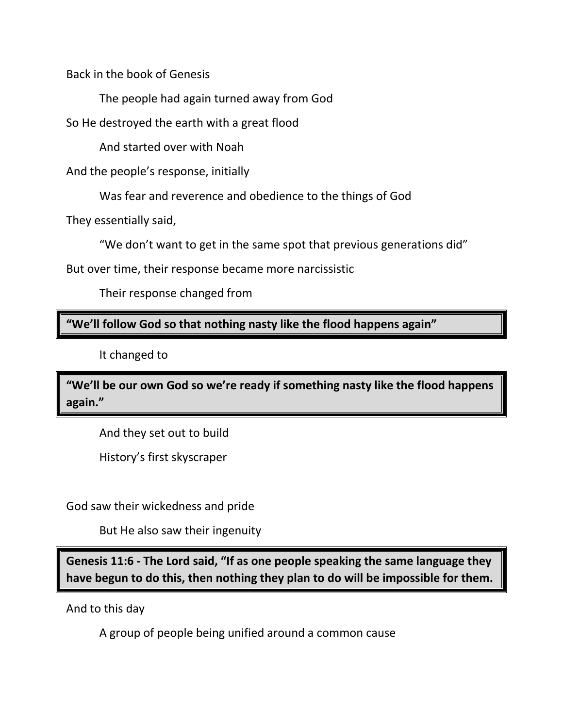Back in the book of Genesis

The people had again turned away from God

So He destroyed the earth with a great flood

And started over with Noah

And the people's response, initially

Was fear and reverence and obedience to the things of God

They essentially said,

"We don't want to get in the same spot that previous generations did"

But over time, their response became more narcissistic

Their response changed from

**"We'll follow God so that nothing nasty like the flood happens again"**

It changed to

**"We'll be our own God so we're ready if something nasty like the flood happens again."**

And they set out to build

History's first skyscraper

God saw their wickedness and pride

But He also saw their ingenuity

**Genesis 11:6 - The Lord said, "If as one people speaking the same language they have begun to do this, then nothing they plan to do will be impossible for them.**

And to this day

A group of people being unified around a common cause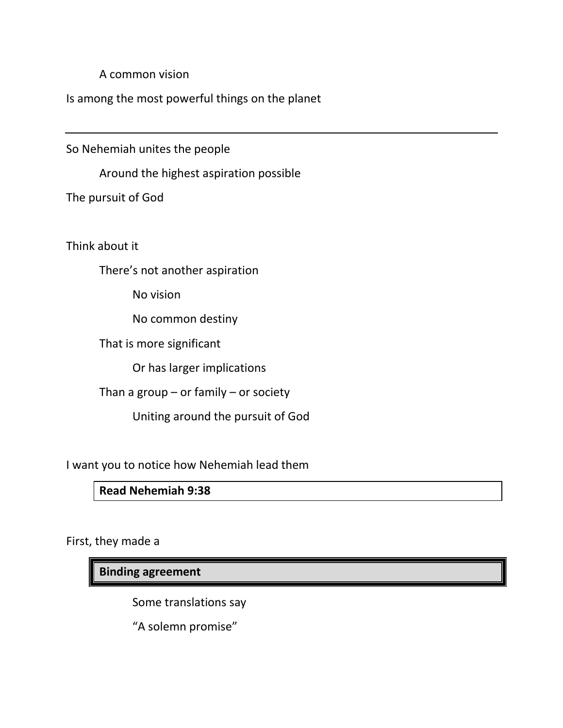A common vision

Is among the most powerful things on the planet

So Nehemiah unites the people

Around the highest aspiration possible

The pursuit of God

Think about it

There's not another aspiration

No vision

No common destiny

That is more significant

Or has larger implications

Than a group  $-$  or family  $-$  or society

Uniting around the pursuit of God

I want you to notice how Nehemiah lead them

## **Read Nehemiah 9:38**

First, they made a

**Binding agreement**

Some translations say

"A solemn promise"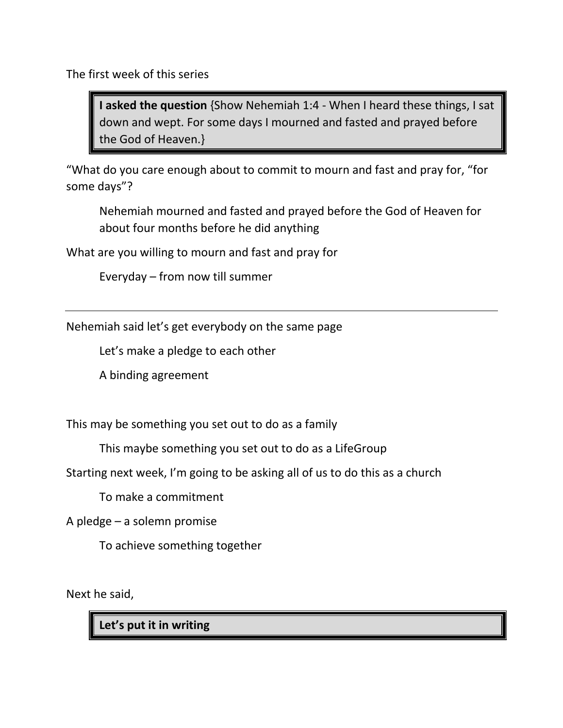The first week of this series

**I asked the question** {Show Nehemiah 1:4 - When I heard these things, I sat down and wept. For some days I mourned and fasted and prayed before the God of Heaven.}

"What do you care enough about to commit to mourn and fast and pray for, "for some days"?

Nehemiah mourned and fasted and prayed before the God of Heaven for about four months before he did anything

What are you willing to mourn and fast and pray for

Everyday – from now till summer

Nehemiah said let's get everybody on the same page

Let's make a pledge to each other

A binding agreement

This may be something you set out to do as a family

This maybe something you set out to do as a LifeGroup

Starting next week, I'm going to be asking all of us to do this as a church

To make a commitment

A pledge – a solemn promise

To achieve something together

Next he said,

**Let's put it in writing**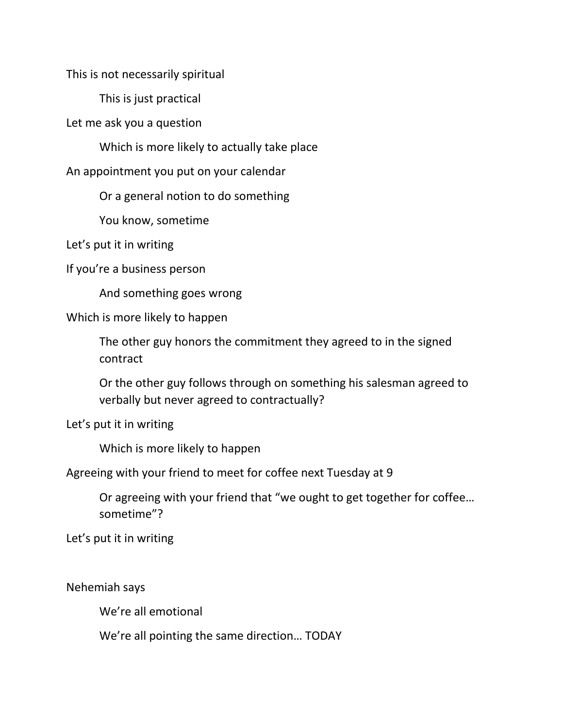This is not necessarily spiritual

This is just practical

Let me ask you a question

Which is more likely to actually take place

An appointment you put on your calendar

Or a general notion to do something

You know, sometime

Let's put it in writing

If you're a business person

And something goes wrong

Which is more likely to happen

The other guy honors the commitment they agreed to in the signed contract

Or the other guy follows through on something his salesman agreed to verbally but never agreed to contractually?

Let's put it in writing

Which is more likely to happen

Agreeing with your friend to meet for coffee next Tuesday at 9

Or agreeing with your friend that "we ought to get together for coffee… sometime"?

Let's put it in writing

Nehemiah says

We're all emotional

We're all pointing the same direction… TODAY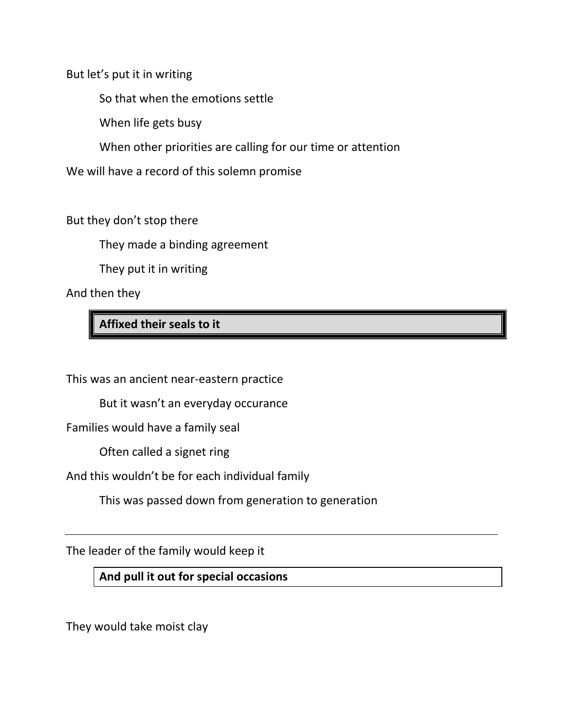But let's put it in writing

So that when the emotions settle

When life gets busy

When other priorities are calling for our time or attention

We will have a record of this solemn promise

But they don't stop there

They made a binding agreement

They put it in writing

And then they

**Affixed their seals to it**

This was an ancient near-eastern practice

But it wasn't an everyday occurance

Families would have a family seal

Often called a signet ring

And this wouldn't be for each individual family

This was passed down from generation to generation

The leader of the family would keep it

**And pull it out for special occasions**

They would take moist clay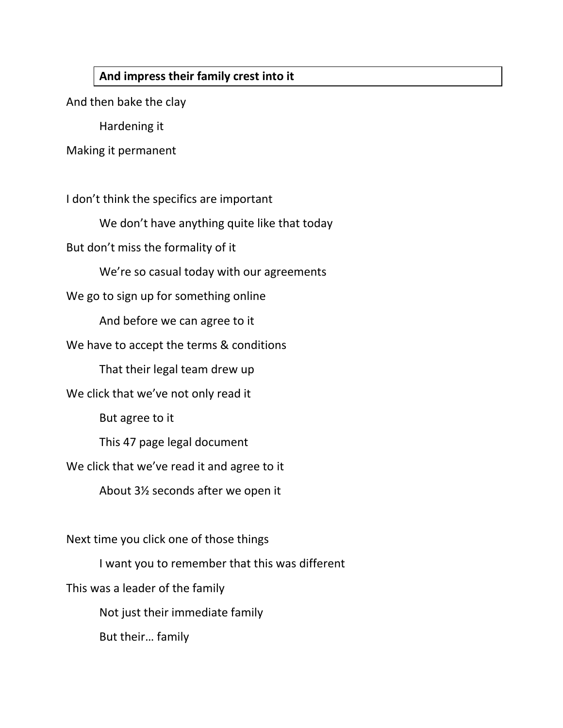### **And impress their family crest into it**

And then bake the clay

Hardening it

Making it permanent

I don't think the specifics are important

We don't have anything quite like that today

But don't miss the formality of it

We're so casual today with our agreements

We go to sign up for something online

And before we can agree to it

We have to accept the terms & conditions

That their legal team drew up

We click that we've not only read it

But agree to it

This 47 page legal document

We click that we've read it and agree to it

About 3½ seconds after we open it

Next time you click one of those things

I want you to remember that this was different

This was a leader of the family

Not just their immediate family

But their… family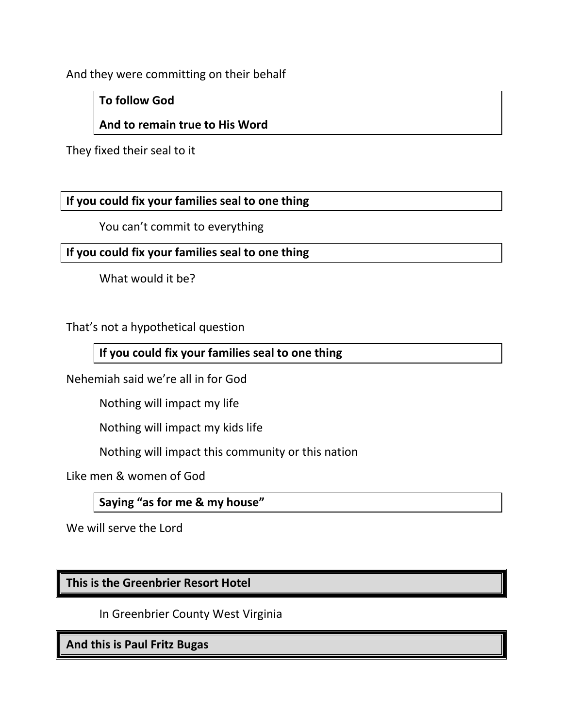And they were committing on their behalf

**To follow God**

# **And to remain true to His Word**

They fixed their seal to it

## **If you could fix your families seal to one thing**

You can't commit to everything

**If you could fix your families seal to one thing**

What would it be?

That's not a hypothetical question

# **If you could fix your families seal to one thing**

Nehemiah said we're all in for God

Nothing will impact my life

Nothing will impact my kids life

Nothing will impact this community or this nation

Like men & women of God

**Saying "as for me & my house"**

We will serve the Lord

# **This is the Greenbrier Resort Hotel**

In Greenbrier County West Virginia

**And this is Paul Fritz Bugas**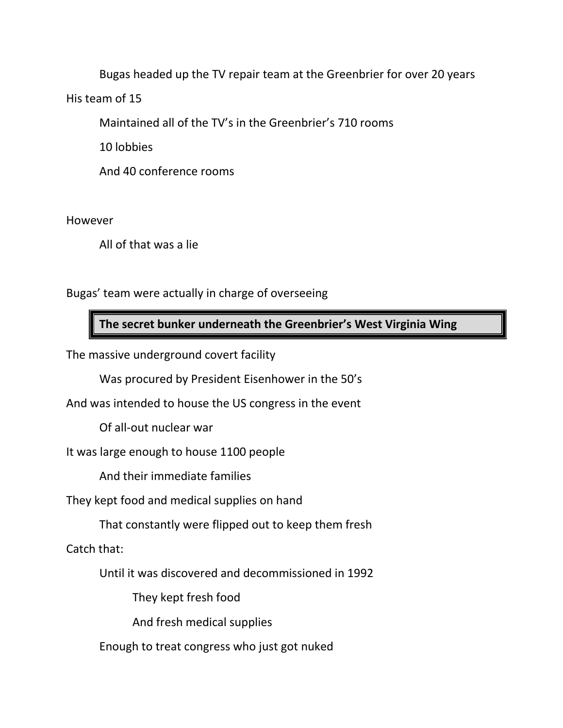Bugas headed up the TV repair team at the Greenbrier for over 20 years

His team of 15

Maintained all of the TV's in the Greenbrier's 710 rooms

10 lobbies

And 40 conference rooms

However

All of that was a lie

Bugas' team were actually in charge of overseeing

**The secret bunker underneath the Greenbrier's West Virginia Wing**

The massive underground covert facility

Was procured by President Eisenhower in the 50's

And was intended to house the US congress in the event

Of all-out nuclear war

It was large enough to house 1100 people

And their immediate families

They kept food and medical supplies on hand

That constantly were flipped out to keep them fresh

Catch that:

Until it was discovered and decommissioned in 1992

They kept fresh food

And fresh medical supplies

Enough to treat congress who just got nuked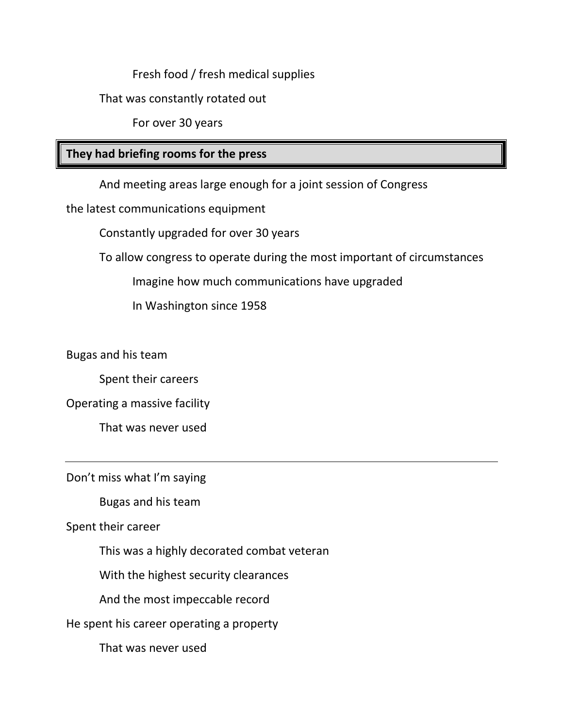Fresh food / fresh medical supplies

That was constantly rotated out

For over 30 years

### **They had briefing rooms for the press**

And meeting areas large enough for a joint session of Congress

the latest communications equipment

Constantly upgraded for over 30 years

To allow congress to operate during the most important of circumstances

Imagine how much communications have upgraded

In Washington since 1958

Bugas and his team

Spent their careers

Operating a massive facility

That was never used

Don't miss what I'm saying

Bugas and his team

Spent their career

This was a highly decorated combat veteran

With the highest security clearances

And the most impeccable record

He spent his career operating a property

That was never used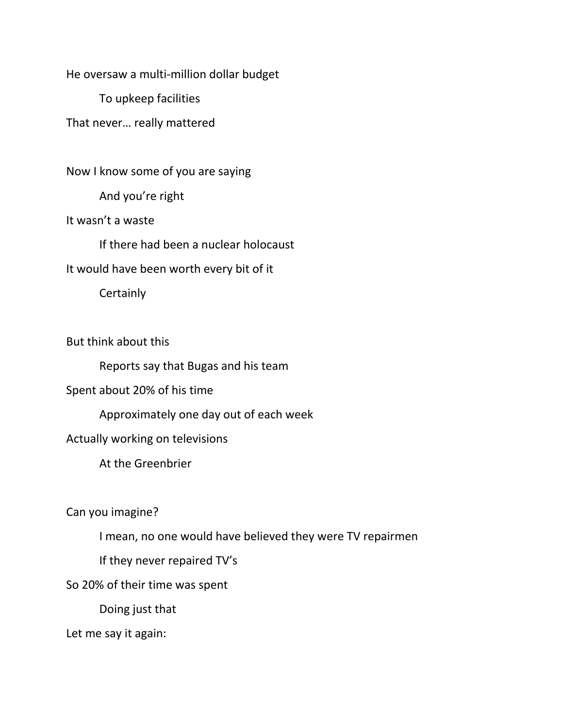He oversaw a multi-million dollar budget

To upkeep facilities

That never… really mattered

Now I know some of you are saying

And you're right

It wasn't a waste

If there had been a nuclear holocaust

It would have been worth every bit of it

**Certainly** 

But think about this

Reports say that Bugas and his team

Spent about 20% of his time

Approximately one day out of each week

Actually working on televisions

At the Greenbrier

Can you imagine?

I mean, no one would have believed they were TV repairmen

If they never repaired TV's

So 20% of their time was spent

Doing just that

Let me say it again: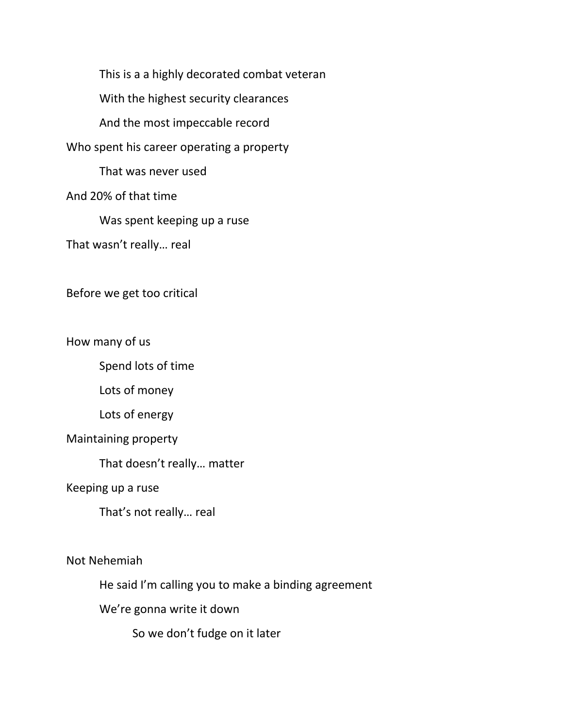This is a a highly decorated combat veteran With the highest security clearances And the most impeccable record Who spent his career operating a property That was never used And 20% of that time Was spent keeping up a ruse That wasn't really… real

Before we get too critical

How many of us

Spend lots of time

Lots of money

Lots of energy

Maintaining property

That doesn't really… matter

Keeping up a ruse

That's not really… real

Not Nehemiah

He said I'm calling you to make a binding agreement

We're gonna write it down

So we don't fudge on it later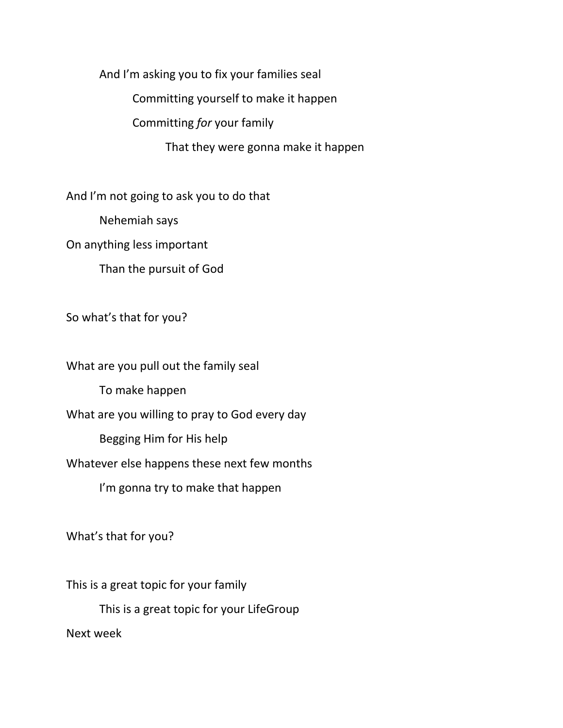And I'm asking you to fix your families seal

Committing yourself to make it happen

Committing *for* your family

That they were gonna make it happen

And I'm not going to ask you to do that

Nehemiah says

On anything less important

Than the pursuit of God

So what's that for you?

What are you pull out the family seal To make happen What are you willing to pray to God every day Begging Him for His help Whatever else happens these next few months I'm gonna try to make that happen

What's that for you?

This is a great topic for your family This is a great topic for your LifeGroup Next week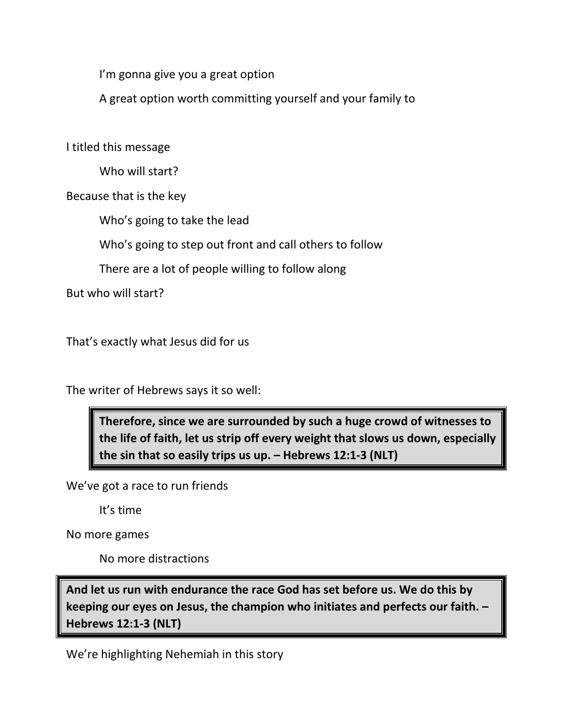I'm gonna give you a great option

A great option worth committing yourself and your family to

I titled this message

Who will start?

Because that is the key

Who's going to take the lead

Who's going to step out front and call others to follow

There are a lot of people willing to follow along

But who will start?

That's exactly what Jesus did for us

The writer of Hebrews says it so well:

**Therefore, since we are surrounded by such a huge crowd of witnesses to the life of faith, let us strip off every weight that slows us down, especially the sin that so easily trips us up. – Hebrews 12:1-3 (NLT)**

We've got a race to run friends

It's time

No more games

No more distractions

**And let us run with endurance the race God has set before us. We do this by keeping our eyes on Jesus, the champion who initiates and perfects our faith. – Hebrews 12:1-3 (NLT)**

We're highlighting Nehemiah in this story